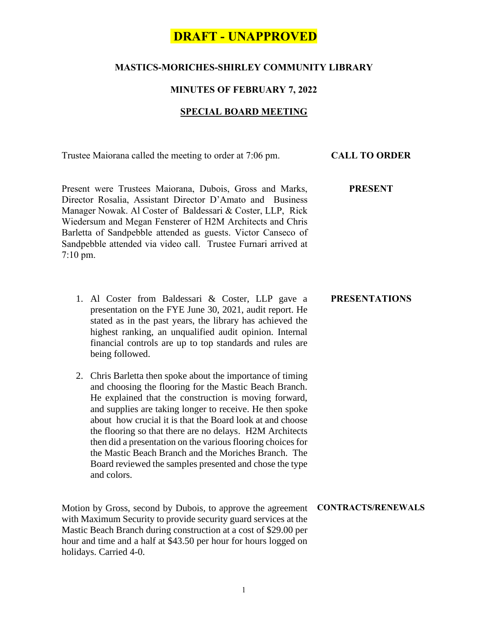## **DRAFT - UNAPPROVED**

### **MASTICS-MORICHES-SHIRLEY COMMUNITY LIBRARY**

#### **MINUTES OF FEBRUARY 7, 2022**

#### **SPECIAL BOARD MEETING**

Trustee Maiorana called the meeting to order at 7:06 pm. **CALL TO ORDER**

**PRESENT**

**PRESENTATIONS**

Present were Trustees Maiorana, Dubois, Gross and Marks, Director Rosalia, Assistant Director D'Amato and Business Manager Nowak. Al Coster of Baldessari & Coster, LLP, Rick Wiedersum and Megan Fensterer of H2M Architects and Chris Barletta of Sandpebble attended as guests. Victor Canseco of Sandpebble attended via video call. Trustee Furnari arrived at 7:10 pm.

- 1. Al Coster from Baldessari & Coster, LLP gave a presentation on the FYE June 30, 2021, audit report. He stated as in the past years, the library has achieved the highest ranking, an unqualified audit opinion. Internal financial controls are up to top standards and rules are being followed.
- 2. Chris Barletta then spoke about the importance of timing and choosing the flooring for the Mastic Beach Branch. He explained that the construction is moving forward, and supplies are taking longer to receive. He then spoke about how crucial it is that the Board look at and choose the flooring so that there are no delays. H2M Architects then did a presentation on the various flooring choices for the Mastic Beach Branch and the Moriches Branch. The Board reviewed the samples presented and chose the type and colors.

Motion by Gross, second by Dubois, to approve the agreement **CONTRACTS/RENEWALS**with Maximum Security to provide security guard services at the Mastic Beach Branch during construction at a cost of \$29.00 per hour and time and a half at \$43.50 per hour for hours logged on holidays. Carried 4-0.